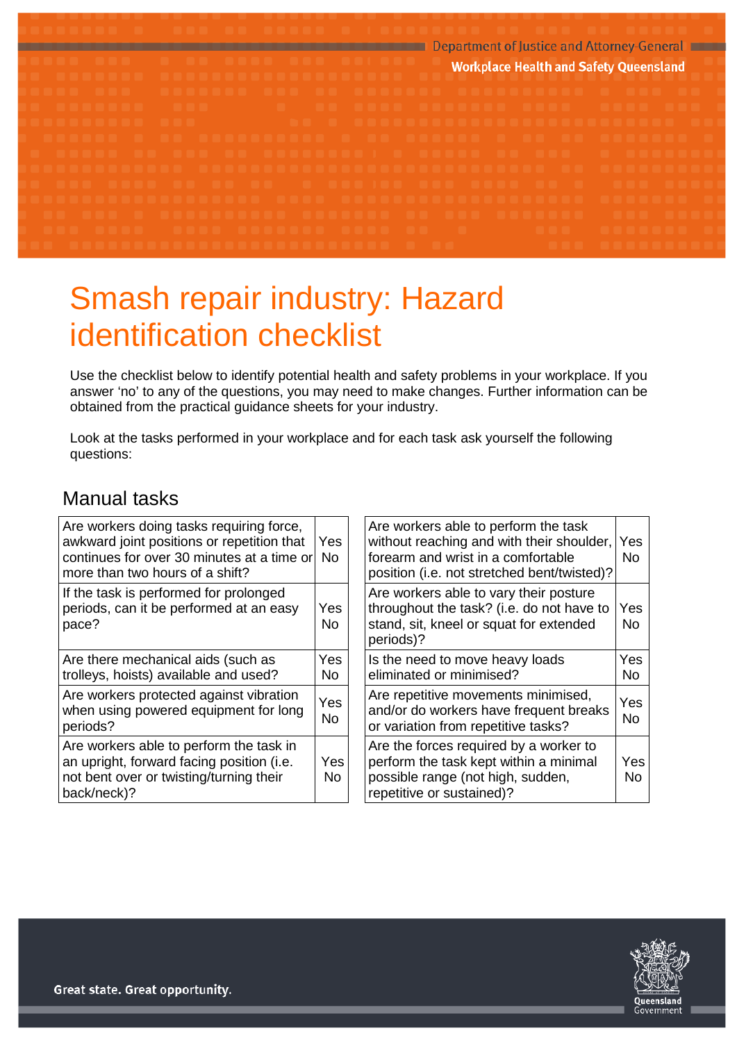

# Smash repair industry: Hazard identification checklist

Use the checklist below to identify potential health and safety problems in your workplace. If you answer 'no' to any of the questions, you may need to make changes. Further information can be obtained from the practical guidance sheets for your industry.

Look at the tasks performed in your workplace and for each task ask yourself the following questions:

#### Manual tasks

| Are workers doing tasks requiring force,<br>awkward joint positions or repetition that<br>continues for over 30 minutes at a time or<br>more than two hours of a shift? | Yes.<br>No  | Are workers able to perform the task<br>without reaching and with their shoulder,<br>forearm and wrist in a comfortable<br>position (i.e. not stretched bent/twisted)? | Yes<br>No.       |
|-------------------------------------------------------------------------------------------------------------------------------------------------------------------------|-------------|------------------------------------------------------------------------------------------------------------------------------------------------------------------------|------------------|
| If the task is performed for prolonged<br>periods, can it be performed at an easy<br>pace?                                                                              | Yes<br>No.  | Are workers able to vary their posture<br>throughout the task? (i.e. do not have to<br>stand, sit, kneel or squat for extended<br>periods)?                            | Yes<br>No.       |
| Are there mechanical aids (such as<br>trolleys, hoists) available and used?                                                                                             | Yes.<br>No. | Is the need to move heavy loads<br>eliminated or minimised?                                                                                                            | Yes<br>No.       |
| Are workers protected against vibration<br>when using powered equipment for long<br>periods?                                                                            | Yes<br>No.  | Are repetitive movements minimised,<br>and/or do workers have frequent breaks<br>or variation from repetitive tasks?                                                   | Yes<br>No.       |
| Are workers able to perform the task in<br>an upright, forward facing position (i.e.<br>not bent over or twisting/turning their<br>back/neck)?                          | Yes<br>No.  | Are the forces required by a worker to<br>perform the task kept within a minimal<br>possible range (not high, sudden,<br>repetitive or sustained)?                     | Yes<br><b>No</b> |

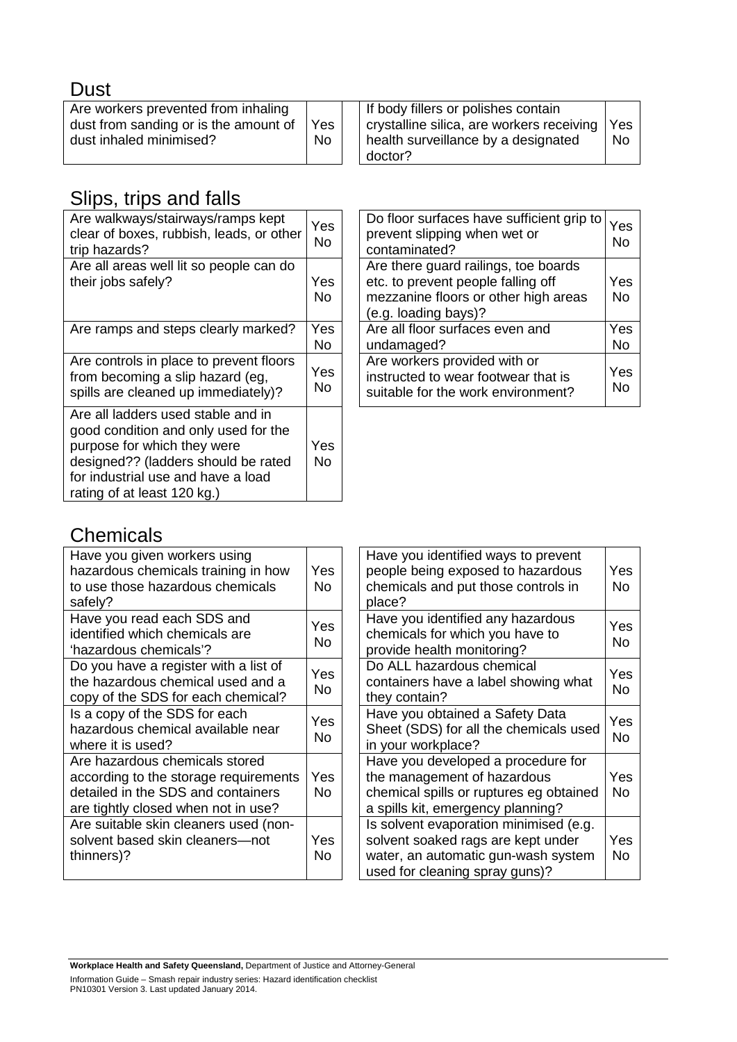|--|

| Are workers prevented from inhaling<br>dust from sanding or is the amount of<br>Yes<br>No.<br>dust inhaled minimised? | If body fillers or polishes contain<br>crystalline silica, are workers receiving<br>health surveillance by a designated<br>doctor? | Yes<br><b>No</b> |
|-----------------------------------------------------------------------------------------------------------------------|------------------------------------------------------------------------------------------------------------------------------------|------------------|
|-----------------------------------------------------------------------------------------------------------------------|------------------------------------------------------------------------------------------------------------------------------------|------------------|

# Slips, trips and falls

| Are walkways/stairways/ramps kept<br>clear of boxes, rubbish, leads, or other<br>trip hazards?                                                                                                                        | Yes<br>No |
|-----------------------------------------------------------------------------------------------------------------------------------------------------------------------------------------------------------------------|-----------|
| Are all areas well lit so people can do<br>their jobs safely?                                                                                                                                                         | Yes<br>No |
| Are ramps and steps clearly marked?                                                                                                                                                                                   | Yes<br>Nο |
| Are controls in place to prevent floors<br>from becoming a slip hazard (eg,<br>spills are cleaned up immediately)?                                                                                                    | Yes<br>No |
| Are all ladders used stable and in<br>good condition and only used for the<br>purpose for which they were<br>designed?? (ladders should be rated<br>for industrial use and have a load<br>rating of at least 120 kg.) | Yes<br>No |

| Do floor surfaces have sufficient grip to<br>Yes<br>No |
|--------------------------------------------------------|
| Yes<br><b>No</b>                                       |
| Yes<br>No                                              |
| Yes<br>No                                              |
|                                                        |

#### **Chemicals**

| Have you given workers using<br>hazardous chemicals training in how<br>to use those hazardous chemicals<br>safely?                                   | Yes<br>No |
|------------------------------------------------------------------------------------------------------------------------------------------------------|-----------|
| Have you read each SDS and<br>identified which chemicals are<br>'hazardous chemicals'?                                                               | Yes<br>No |
| Do you have a register with a list of<br>the hazardous chemical used and a<br>copy of the SDS for each chemical?                                     | Yes<br>No |
| Is a copy of the SDS for each<br>hazardous chemical available near<br>where it is used?                                                              | Yes<br>No |
| Are hazardous chemicals stored<br>according to the storage requirements<br>detailed in the SDS and containers<br>are tightly closed when not in use? | Yes<br>No |
| Are suitable skin cleaners used (non-<br>solvent based skin cleaners-not<br>thinners)?                                                               | Yes<br>No |

| Have you identified ways to prevent<br>people being exposed to hazardous<br>chemicals and put those controls in<br>place?                             | Yes<br>No |
|-------------------------------------------------------------------------------------------------------------------------------------------------------|-----------|
| Have you identified any hazardous<br>chemicals for which you have to<br>provide health monitoring?                                                    | Yes<br>No |
| Do ALL hazardous chemical<br>containers have a label showing what<br>they contain?                                                                    | Yes<br>No |
| Have you obtained a Safety Data<br>Sheet (SDS) for all the chemicals used<br>in your workplace?                                                       | Yes<br>No |
| Have you developed a procedure for<br>the management of hazardous<br>chemical spills or ruptures eg obtained<br>a spills kit, emergency planning?     | Yes<br>No |
| Is solvent evaporation minimised (e.g.<br>solvent soaked rags are kept under<br>water, an automatic gun-wash system<br>used for cleaning spray guns)? | Yes<br>No |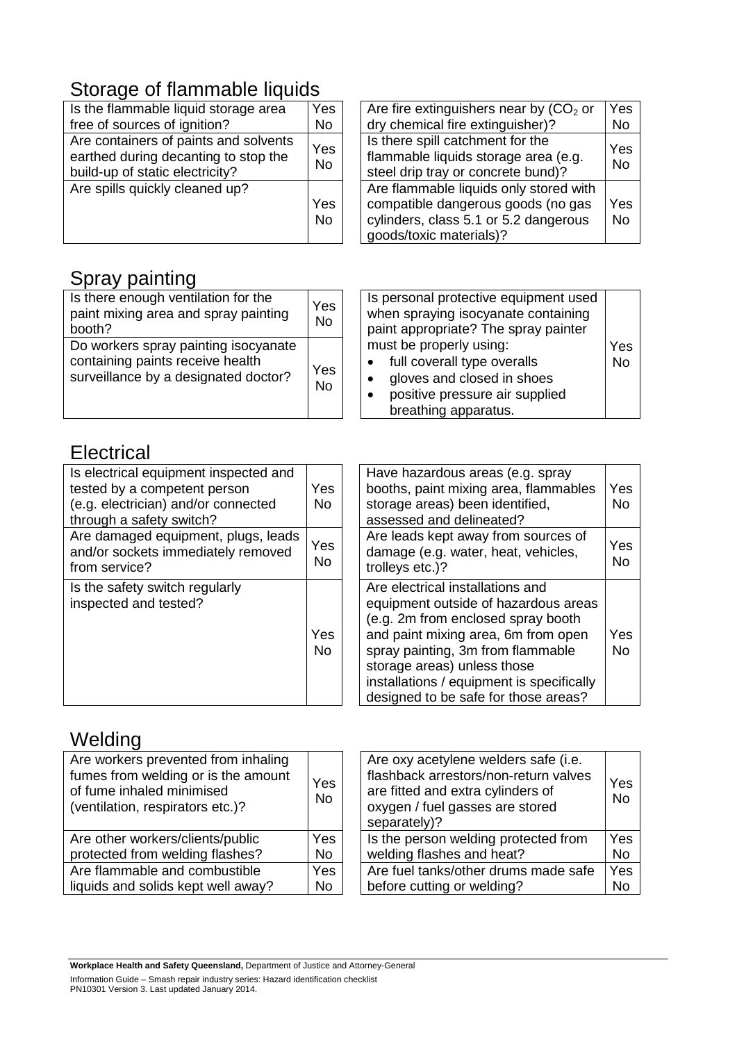# Storage of flammable liquids

| Is the flammable liquid storage area<br>free of sources of ignition?                                             | Yes<br><b>No</b>      |
|------------------------------------------------------------------------------------------------------------------|-----------------------|
| Are containers of paints and solvents<br>earthed during decanting to stop the<br>build-up of static electricity? | Yes<br><b>No</b>      |
| Are spills quickly cleaned up?                                                                                   | Yes<br>N <sub>o</sub> |

| Are fire extinguishers near by $(CO2$ or<br>dry chemical fire extinguisher)?                                                                     | Yes<br>No        |
|--------------------------------------------------------------------------------------------------------------------------------------------------|------------------|
| Is there spill catchment for the<br>flammable liquids storage area (e.g.<br>steel drip tray or concrete bund)?                                   |                  |
| Are flammable liquids only stored with<br>compatible dangerous goods (no gas<br>cylinders, class 5.1 or 5.2 dangerous<br>goods/toxic materials)? | Yes<br><b>No</b> |

# Spray painting

| Is there enough ventilation for the<br>paint mixing area and spray painting<br>booth?                            | Yes<br><b>No</b> | Is personal protective equipment used<br>when spraying isocyanate containing<br>paint appropriate? The spray painter                           |                  |
|------------------------------------------------------------------------------------------------------------------|------------------|------------------------------------------------------------------------------------------------------------------------------------------------|------------------|
| Do workers spray painting isocyanate<br>containing paints receive health<br>surveillance by a designated doctor? | Yes<br><b>No</b> | must be properly using:<br>full coverall type overalls<br>gloves and closed in shoes<br>positive pressure air supplied<br>breathing apparatus. | Yes<br><b>No</b> |

#### **Electrical**

| Is electrical equipment inspected and<br>tested by a competent person<br>(e.g. electrician) and/or connected<br>through a safety switch? | Yes<br>No. | Have hazardous areas (e.g. spray<br>booths, paint mixing area, flammables<br>storage areas) been identified,<br>assessed and delineated?                                                                                                                                                                       | Yes<br>No.       |
|------------------------------------------------------------------------------------------------------------------------------------------|------------|----------------------------------------------------------------------------------------------------------------------------------------------------------------------------------------------------------------------------------------------------------------------------------------------------------------|------------------|
| Are damaged equipment, plugs, leads<br>and/or sockets immediately removed<br>from service?                                               | Yes<br>No  | Are leads kept away from sources of<br>damage (e.g. water, heat, vehicles,<br>trolleys etc.)?                                                                                                                                                                                                                  | Yes<br><b>No</b> |
| Is the safety switch regularly<br>inspected and tested?                                                                                  | Yes<br>No. | Are electrical installations and<br>equipment outside of hazardous areas<br>(e.g. 2m from enclosed spray booth<br>and paint mixing area, 6m from open<br>spray painting, 3m from flammable<br>storage areas) unless those<br>installations / equipment is specifically<br>designed to be safe for those areas? | Yes<br>No.       |

# Welding

| Are workers prevented from inhaling<br>fumes from welding or is the amount<br>of fume inhaled minimised<br>(ventilation, respirators etc.)? | Yes<br><b>No</b> | Are oxy acetylene welders safe (i.e.<br>flashback arrestors/non-return valves<br>are fitted and extra cylinders of<br>oxygen / fuel gasses are stored<br>separately)? | Yes<br><b>No</b> |
|---------------------------------------------------------------------------------------------------------------------------------------------|------------------|-----------------------------------------------------------------------------------------------------------------------------------------------------------------------|------------------|
| Are other workers/clients/public                                                                                                            | <b>Yes</b>       | Is the person welding protected from                                                                                                                                  | Yes              |
| protected from welding flashes?                                                                                                             | No.              | welding flashes and heat?                                                                                                                                             | <b>No</b>        |
| Are flammable and combustible                                                                                                               | Yes              | Are fuel tanks/other drums made safe                                                                                                                                  | Yes              |
| liquids and solids kept well away?                                                                                                          | No               | before cutting or welding?                                                                                                                                            | <b>No</b>        |
|                                                                                                                                             |                  |                                                                                                                                                                       |                  |

**Workplace Health and Safety Queensland,** Department of Justice and Attorney-General Information Guide – Smash repair industry series: Hazard identification checklist PN10301 Version 3. Last updated January 2014.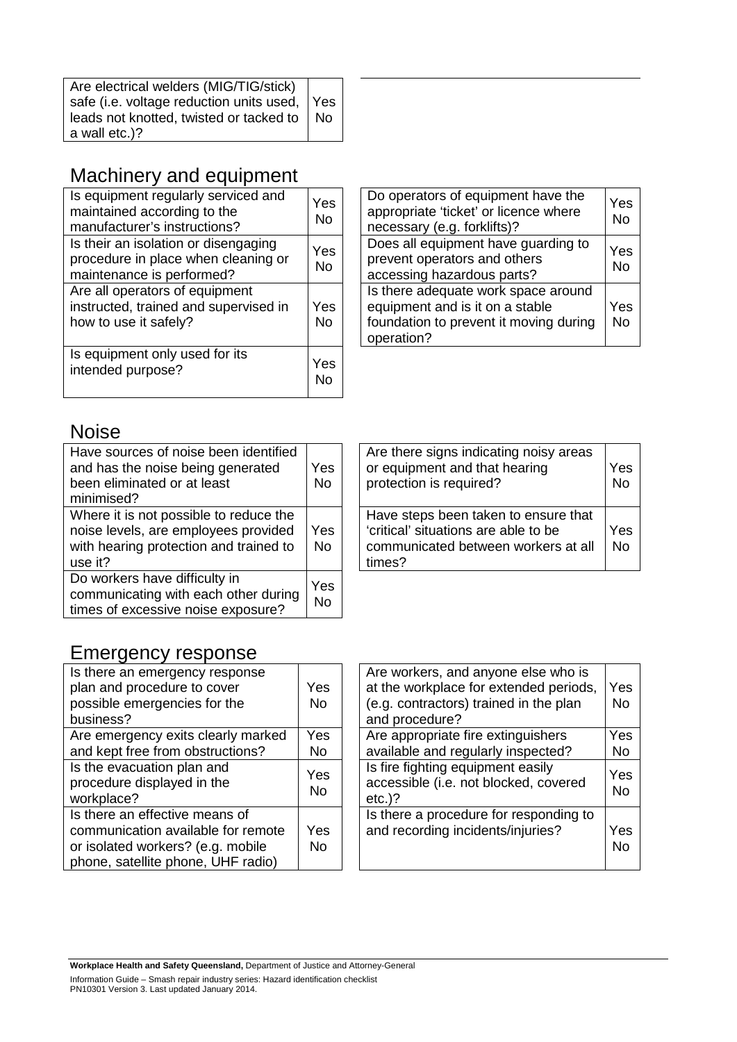| Are electrical welders (MIG/TIG/stick)       |      |
|----------------------------------------------|------|
| safe (i.e. voltage reduction units used, Yes |      |
| leads not knotted, twisted or tacked to      | l No |
| a wall etc.)?                                |      |

# Machinery and equipment

| Is equipment regularly serviced and<br>maintained according to the<br>manufacturer's instructions?       | Yes<br>No |
|----------------------------------------------------------------------------------------------------------|-----------|
| Is their an isolation or disengaging<br>procedure in place when cleaning or<br>maintenance is performed? | Yes<br>N٥ |
| Are all operators of equipment<br>instructed, trained and supervised in<br>how to use it safely?         | Yes<br>N٥ |
| Is equipment only used for its<br>intended purpose?                                                      | Yes       |

| Do operators of equipment have the<br>appropriate 'ticket' or licence where<br>necessary (e.g. forklifts)?                     | Yes<br><b>No</b> |
|--------------------------------------------------------------------------------------------------------------------------------|------------------|
| Does all equipment have guarding to<br>prevent operators and others<br>accessing hazardous parts?                              | Yes<br><b>No</b> |
| Is there adequate work space around<br>equipment and is it on a stable<br>foundation to prevent it moving during<br>operation? | Yes<br><b>No</b> |

# Noise

| Have sources of noise been identified<br>and has the noise being generated<br>been eliminated or at least<br>minimised?             | Yes<br><b>No</b> |
|-------------------------------------------------------------------------------------------------------------------------------------|------------------|
| Where it is not possible to reduce the<br>noise levels, are employees provided<br>with hearing protection and trained to<br>use it? | Yes<br><b>No</b> |
| Do workers have difficulty in<br>communicating with each other during<br>times of excessive noise exposure?                         | Yes<br>No        |

| Are there signs indicating noisy areas<br>or equipment and that hearing<br>protection is required?                            | Yes<br>No |
|-------------------------------------------------------------------------------------------------------------------------------|-----------|
| Have steps been taken to ensure that<br>'critical' situations are able to be<br>communicated between workers at all<br>times? | Yes<br>No |

#### Emergency response

| Is there an emergency response<br>plan and procedure to cover<br>possible emergencies for the<br>business?                                      | Yes<br>No |
|-------------------------------------------------------------------------------------------------------------------------------------------------|-----------|
| Are emergency exits clearly marked<br>and kept free from obstructions?                                                                          | Yes<br>No |
| Is the evacuation plan and<br>procedure displayed in the<br>workplace?                                                                          | Yes<br>No |
| Is there an effective means of<br>communication available for remote<br>or isolated workers? (e.g. mobile<br>phone, satellite phone, UHF radio) | Yes<br>No |

| Are workers, and anyone else who is<br>at the workplace for extended periods,<br>(e.g. contractors) trained in the plan<br>and procedure? | Yes<br><b>No</b> |
|-------------------------------------------------------------------------------------------------------------------------------------------|------------------|
| Are appropriate fire extinguishers                                                                                                        | Yes              |
| available and regularly inspected?                                                                                                        | No               |
| Is fire fighting equipment easily<br>accessible (i.e. not blocked, covered<br>$etc.$ )?                                                   | Yes<br>N٥        |
| Is there a procedure for responding to<br>and recording incidents/injuries?                                                               | Yes<br>Nο        |

**Workplace Health and Safety Queensland,** Department of Justice and Attorney-General Information Guide – Smash repair industry series: Hazard identification checklist PN10301 Version 3. Last updated January 2014.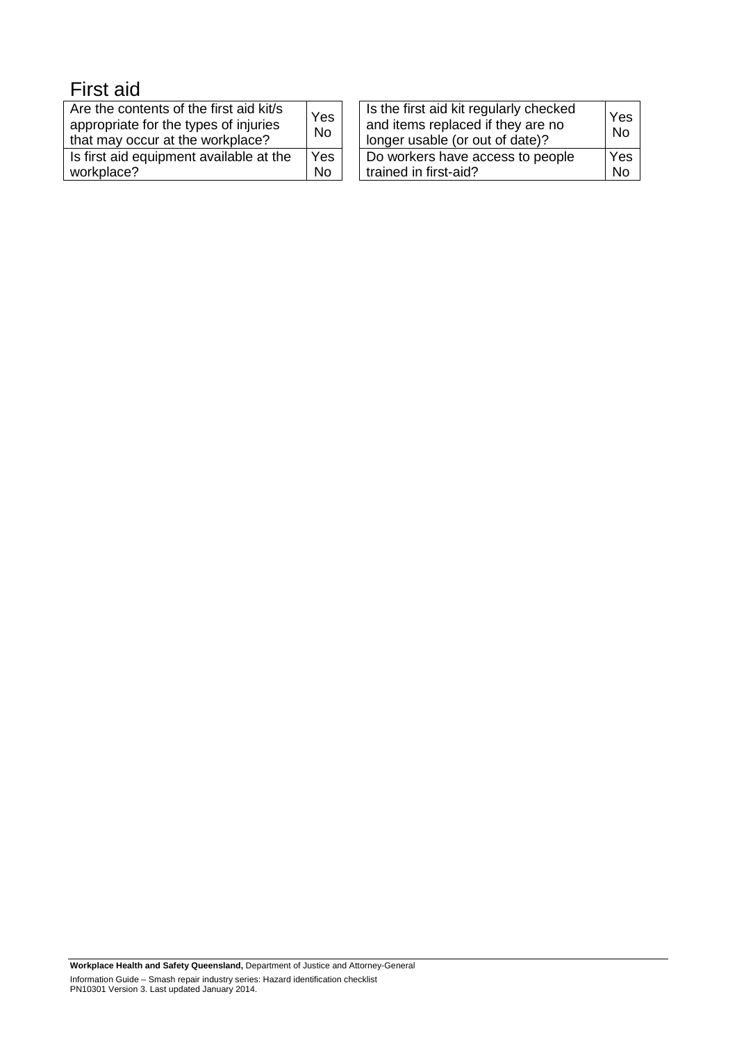# First aid

| Are the contents of the first aid kit/s<br>appropriate for the types of injuries<br>that may occur at the workplace? | Yes<br><b>No</b> | Is the first aid kit regularly checked<br>and items replaced if they are no<br>longer usable (or out of date)? |
|----------------------------------------------------------------------------------------------------------------------|------------------|----------------------------------------------------------------------------------------------------------------|
| Is first aid equipment available at the                                                                              | Yes              | Do workers have access to people                                                                               |
| workplace?                                                                                                           | <b>No</b>        | trained in first-aid?                                                                                          |

Yes No

Yes No